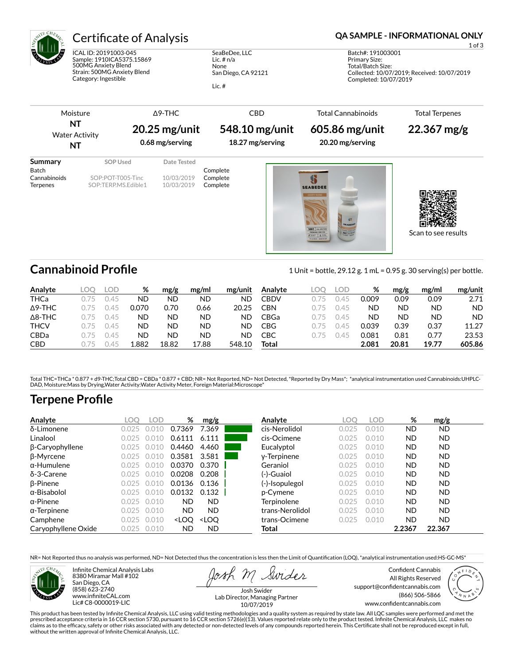

# Certificate of Analysis **Certificate of Analysis QA SAMPLE - INFORMATIONAL ONLY**

ICAL ID: 20191003-045 Sample: 1910ICA5375.15869 500MG Anxiety Blend Strain: 500MG Anxiety Blend Category: Ingestible

SeaBeDee, LLC Lic. # n/a None San Diego, CA 92121

Lic. #

1 of 3

Batch#: 191003001 Primary Size: Total/Batch Size: Collected: 10/07/2019; Received: 10/07/2019 Completed: 10/07/2019

| ΝT<br>NT                                            | Moisture<br><b>Water Activity</b>                    | $\triangle$ 9-THC<br>$20.25$ mg/unit<br>0.68 mg/serving |                                  | <b>CBD</b><br>548.10 mg/unit<br>18.27 mg/serving | <b>Total Cannabinoids</b><br>605.86 mg/unit<br>20.20 mg/serving | <b>Total Terpenes</b><br>$22.367$ mg/g |
|-----------------------------------------------------|------------------------------------------------------|---------------------------------------------------------|----------------------------------|--------------------------------------------------|-----------------------------------------------------------------|----------------------------------------|
| Summary<br>Batch<br>Cannabinoids<br><b>Terpenes</b> | SOP Used<br>SOP:POT-T005-Tinc<br>SOP:TERP.MS.Edible1 | Date Tested<br>10/03/2019<br>10/03/2019                 | Complete<br>Complete<br>Complete |                                                  | á,<br><b>SEABEDEE</b><br>ANOUETY BLEND<br><b>SEARE</b>          |                                        |

Scan to see results

Cannabinoid Profile **Cannabinoid Profile** 1 Unit = bottle, 29.12 g. 1 mL = 0.95 g. 30 serving(s) per bottle.

| Analyte        | .OC | LOD | %     | mg/g      | mg/ml     | mg/unit | Analyte | LOC  | LOD  | %     | mg/g      | mg/ml     | mg/unit   |
|----------------|-----|-----|-------|-----------|-----------|---------|---------|------|------|-------|-----------|-----------|-----------|
| THCa           |     | 145 | ND    | <b>ND</b> | ΝD        | ND      | CBDV    | 175  | 145  | 0.009 | 0.09      | 0.09      | 2.71      |
| $\Delta$ 9-THC | 1/5 | 145 | 0.070 | 0.70      | 0.66      | 20.25   | CBN     | ገ 75 | ገ 45 | ND    | ND        | ND        | <b>ND</b> |
| $\Delta$ 8-THC | 1/5 | 145 | ΝD    | ND        | <b>ND</b> | ND      | CBGa    | 175  | ገ 45 | ND    | <b>ND</b> | <b>ND</b> | <b>ND</b> |
| <b>THCV</b>    | 1/5 | 145 | ND    | ND        | <b>ND</b> | ND      | CBG     | 175  | 145  | 0.039 | 0.39      | 0.37      | 11.27     |
| <b>CBDa</b>    | 1/5 | 145 | ND    | ND        | <b>ND</b> | ND      | CBC     | 175  | 145  | 0.081 | 0.81      | 0.77      | 23.53     |
| <b>CBD</b>     | 1/5 | 145 | .882  | 18.82     | 17.88     | 548.10  | Total   |      |      | 2.081 | 20.81     | 19.77     | 605.86    |

Total THC=THCa \* 0.877 + d9-THC;Total CBD = CBDa \* 0.877 + CBD; NR= Not Reported, ND= Not Detected, \*Reported by Dry Mass\*; \*analytical instrumentation used Cannabinoids:UHPLC-DAD, Moisture:Mass by Drying,Water Activity:Water Activity Meter, Foreign Material:Microscope\*

# **Terpene Profile**

| Analyte                | .OC    | .OD                    | %                                                                                                                                              | mg/g                                                                                                               | Analyte         | .OC   | .OD   | %         | mg/g      |  |
|------------------------|--------|------------------------|------------------------------------------------------------------------------------------------------------------------------------------------|--------------------------------------------------------------------------------------------------------------------|-----------------|-------|-------|-----------|-----------|--|
| δ-Limonene             | 0.025  | $\left( \cdot \right)$ | 0.7369                                                                                                                                         | 7.369                                                                                                              | cis-Nerolidol   | 0.025 | 0.010 | <b>ND</b> | ND.       |  |
| Linalool               | N N 25 | 10                     | 0.6111                                                                                                                                         | 6.111                                                                                                              | cis-Ocimene     | 0.025 | 0.010 | <b>ND</b> | <b>ND</b> |  |
| $\beta$ -Caryophyllene | 0.025  | 10                     | 0.4460                                                                                                                                         | 4.460                                                                                                              | Eucalyptol      | 0.025 | 0.010 | <b>ND</b> | <b>ND</b> |  |
| β-Myrcene              | 0.025  | 1()<br>()()            | 0.3581                                                                                                                                         | 3.581                                                                                                              | y-Terpinene     | 0.025 | 0.010 | <b>ND</b> | <b>ND</b> |  |
| $\alpha$ -Humulene     | N N 25 | 16<br>J(1)             | 0.0370                                                                                                                                         | 0.370                                                                                                              | Geraniol        | 0.025 | 0.010 | <b>ND</b> | <b>ND</b> |  |
| $\delta$ -3-Carene     | N N 25 | `1()                   | 0.0208                                                                                                                                         | 0.208                                                                                                              | (-)-Guaiol      | 0.025 | 0.010 | <b>ND</b> | <b>ND</b> |  |
| $\beta$ -Pinene        | 0.025  | 0.010                  | 0.0136                                                                                                                                         | 0.136                                                                                                              | (-)-Isopulegol  | 0.025 | 0.010 | <b>ND</b> | <b>ND</b> |  |
| $\alpha$ -Bisabolol    | 0.025  | 0.010                  | 0.0132                                                                                                                                         | 0.132                                                                                                              | p-Cymene        | 0.025 | 0.010 | <b>ND</b> | <b>ND</b> |  |
| $\alpha$ -Pinene       | 0.025  | 0.010                  | <b>ND</b>                                                                                                                                      | <b>ND</b>                                                                                                          | Terpinolene     | 0.025 | 0.010 | <b>ND</b> | <b>ND</b> |  |
| $\alpha$ -Terpinene    | 0.025  | 0.010                  | <b>ND</b>                                                                                                                                      | <b>ND</b>                                                                                                          | trans-Nerolidol | 0.025 | 0.010 | <b>ND</b> | <b>ND</b> |  |
| Camphene               | 0.025  | 0.010                  | <loo< th=""><th><loo< th=""><th>trans-Ocimene</th><th>0.025</th><th>0.010</th><th><b>ND</b></th><th><b>ND</b></th><th></th></loo<></th></loo<> | <loo< th=""><th>trans-Ocimene</th><th>0.025</th><th>0.010</th><th><b>ND</b></th><th><b>ND</b></th><th></th></loo<> | trans-Ocimene   | 0.025 | 0.010 | <b>ND</b> | <b>ND</b> |  |
| Caryophyllene Oxide    | 0.025  | 0.010                  | ND                                                                                                                                             | <b>ND</b>                                                                                                          | Total           |       |       | 2.2367    | 22.367    |  |

NR= Not Reported thus no analysis was performed, ND= Not Detected thus the concentration is less then the Limit of Quantification (LOQ), \*analytical instrumentation used:HS-GC-MS\*



Infinite Chemical Analysis Labs 8380 Miramar Mall #102 San Diego, CA (858) 623-2740 www.infiniteCAL.com Lic# C8-0000019-LIC

Swides

Confident Cannabis All Rights Reserved support@confidentcannabis.com (866) 506-5866 www.confidentcannabis.com



Josh Swider Lab Director, Managing Partner 10/07/2019

This product has been tested by Infinite Chemical Analysis, LLC using valid testing methodologies and a quality system as required by state law. All LQC samples were performed and met the prescribed acceptance criteria in 16 CCR section 5730, pursuant to 16 CCR section 5726(e)(13). Values reported relate only to the product tested. Infinite Chemical Analysis, LLC makes no<br>claims as to the efficacy, safety o without the written approval of Infinite Chemical Analysis, LLC.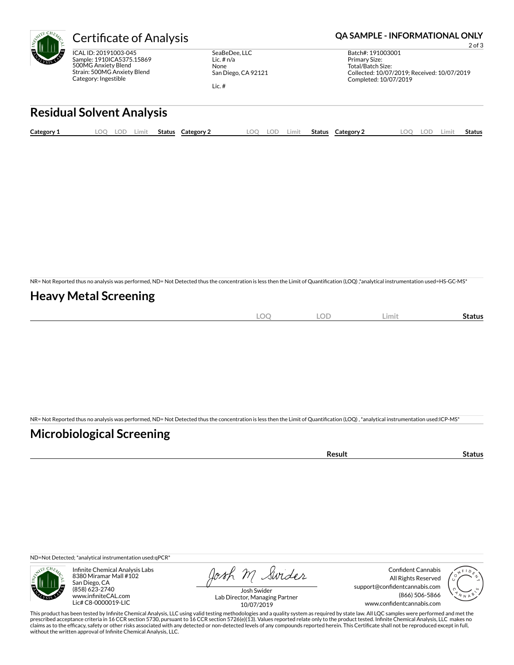

ICAL ID: 20191003-045 Sample: 1910ICA5375.15869 500MG Anxiety Blend Strain: 500MG Anxiety Blend Category: Ingestible

SeaBeDee, LLC Lic. # n/a None San Diego, CA 92121

Lic. #

### Certificate of Analysis **Certificate of Analysis QA SAMPLE - INFORMATIONAL ONLY**

2 of 3 Batch#: 191003001 Primary Size: Total/Batch Size: Collected: 10/07/2019; Received: 10/07/2019 Completed: 10/07/2019

# **Residual Solvent Analysis**

| Category 1 | .00 | LOD | .imit | <b>Status</b> | Category 2 | LOO | LOD | .imit | <b>Status</b> | Category 2 | LOO | LOD | ∟imi† | <b>Status</b> |
|------------|-----|-----|-------|---------------|------------|-----|-----|-------|---------------|------------|-----|-----|-------|---------------|
|            |     |     |       |               |            |     |     |       |               |            |     |     |       |               |

NR= Not Reported thus no analysis was performed, ND= Not Detected thus the concentration is less then the Limit of Quantification (LOQ),\*analytical instrumentation used=HS-GC-MS\*

## **Heavy Metal Screening**

| $\widehat{\phantom{m}}$<br>м<br>$-$<br>$\sim$ | $\sim$ $\sim$<br>w<br>$\sim$ | Limi | Status |
|-----------------------------------------------|------------------------------|------|--------|
|                                               |                              |      |        |

NR= Not Reported thus no analysis was performed, ND= Not Detected thus the concentration is less then the Limit of Quantification (LOQ), \*analytical instrumentation used:ICP-MS\*

## **Microbiological Screening**

| `≏sult |
|--------|
|--------|

ND=Not Detected; \*analytical instrumentation used:qPCR\*



Infinite Chemical Analysis Labs 8380 Miramar Mall #102 San Diego, CA (858) 623-2740 www.infiniteCAL.com Lic# C8-0000019-LIC

Josh M Swider

Confident Cannabis All Rights Reserved support@confidentcannabis.com (866) 506-5866 www.confidentcannabis.com



Josh Swider Lab Director, Managing Partner 10/07/2019

This product has been tested by Infinite Chemical Analysis, LLC using valid testing methodologies and a quality system as required by state law. All LQC samples were performed and met the prescribed acceptance criteria in 16 CCR section 5730, pursuant to 16 CCR section 5726(e)(13). Values reported relate only to the product tested. Infinite Chemical Analysis, LLC makes no<br>claims as to the efficacy, safety o without the written approval of Infinite Chemical Analysis, LLC.